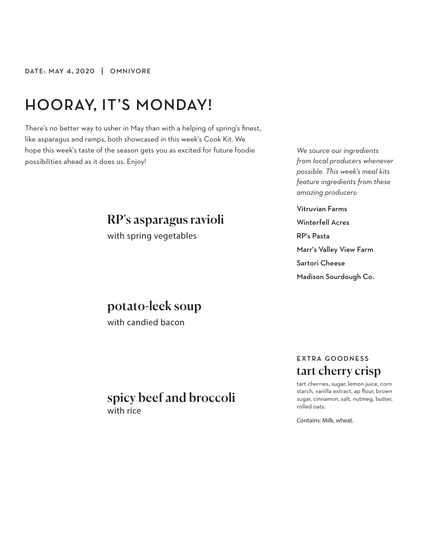# **HOORAY, IT'S MONDAY!**

There's no better way to usher in May than with a helping of spring's finest, like asparagus and ramps, both showcased in this week's Cook Kit. We hope this week's taste of the season gets you as excited for future foodie possibilities ahead as it does us. Enjoy!

## RP's asparagus ravioli

with spring vegetables

*We source our ingredients from local producers whenever possible. This week's meal kits feature ingredients from these amazing producers:*

Vitruvian Farms Winterfell Acres RP's Pasta Marr's Valley View Farm Sartori Cheese Madison Sourdough Co.

## potato-leek soup

with candied bacon

### spicy beef and broccoli with rice

### **EXTRA GOODNESS** tart cherry crisp

tart cherries, sugar, lemon juice, corn starch, vanilla extract, ap flour, brown sugar, cinnamon, salt, nutmeg, butter, rolled oats.

Contains: Milk, wheat.